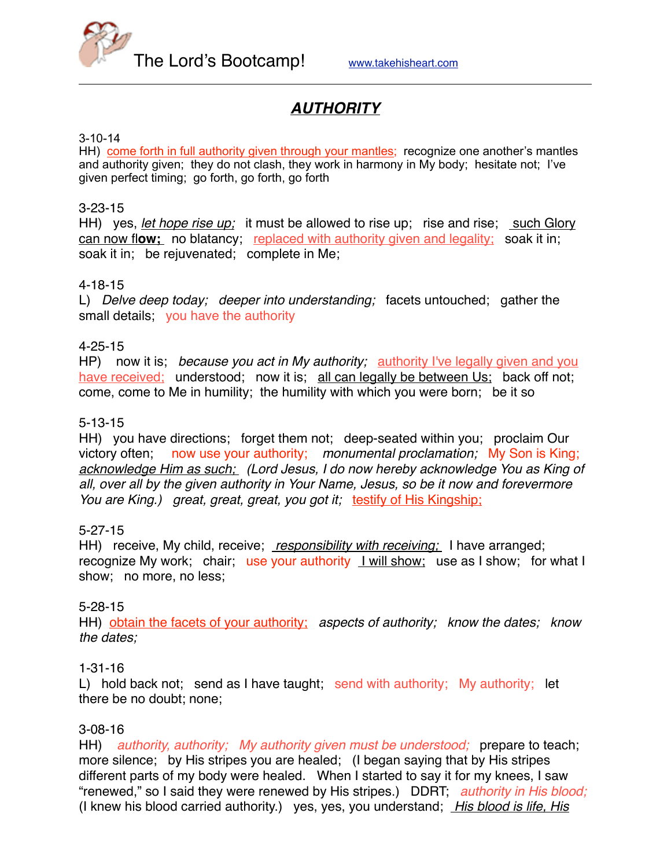

# *AUTHORITY*

### 3-10-14

HH) come forth in full authority given through your mantles; recognize one another's mantles and authority given; they do not clash, they work in harmony in My body; hesitate not; I've given perfect timing; go forth, go forth, go forth

#### 3-23-15

HH) yes, *let hope rise up;* it must be allowed to rise up; rise and rise; such Glory can now fl**ow;** no blatancy; replaced with authority given and legality;soak it in; soak it in; be rejuvenated; complete in Me;

# 4-18-15

L) *Delve deep today; deeper into understanding;* facets untouched; gather the small details; you have the authority

# 4-25-15

HP) now it is; *because you act in My authority;* <u>authority I've legally given and you</u> have received; understood; now it is; all can legally be between Us; back off not; come, come to Me in humility; the humility with which you were born; be it so

# 5-13-15

HH) you have directions; forget them not; deep-seated within you; proclaim Our victory often; now use your authority; *monumental proclamation;* My Son is King; *acknowledge Him as such; (Lord Jesus, I do now hereby acknowledge You as King of all, over all by the given authority in Your Name, Jesus, so be it now and forevermore You are King.) great, great, great, you got it;* testify of His Kingship;

# 5-27-15

HH) receive, My child, receive; *responsibility with receiving;* I have arranged; recognize My work; chair; use your authority I will show; use as I show; for what I show; no more, no less;

# 5-28-15

HH) obtain the facets of your authority; *aspects of authority; know the dates; know the dates;*

#### 1-31-16

L) hold back not; send as I have taught; send with authority; My authority; let there be no doubt; none;

# 3-08-16

HH) *authority, authority; My authority given must be understood;* prepare to teach; more silence; by His stripes you are healed; (I began saying that by His stripes different parts of my body were healed. When I started to say it for my knees, I saw "renewed," so I said they were renewed by His stripes.) DDRT; *authority in His blood;*  (I knew his blood carried authority.) yes, yes, you understand; *His blood is life, His*